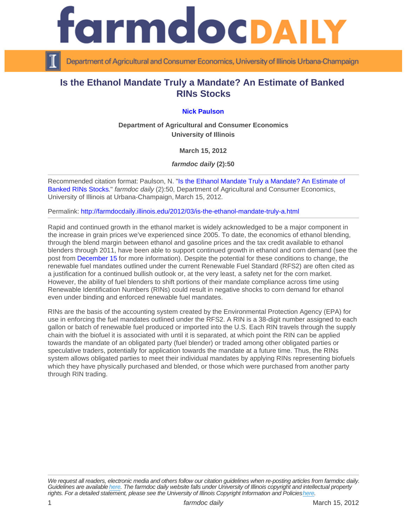## Is the Ethanol Mandate Truly a Mandate? An Estimate of Banked RINs Stocks

## [Nick Paulson](http://www.farmdoc.illinois.edu/paulson/)

Department of Agricultural and Consumer Economics University of Illinois

March 15, 2012

farmdoc daily (2):50

Recommended citation format: Paulson, N. ["Is the Ethanol Mandate Truly a Mandate? An Estimate of](http://farmdocdaily.illinois.edu/2012/03/is-the-ethanol-mandate-truly-a.html)  [Banked RINs Stocks](http://farmdocdaily.illinois.edu/2012/03/is-the-ethanol-mandate-truly-a.html)." farmdoc daily (2):50, Department of Agricultural and Consumer Economics, University of Illinois at Urbana-Champaign, March 15, 2012.

Permalink:<http://farmdocdaily.illinois.edu/2012/03/is-the-ethanol-mandate-truly-a.html>

Rapid and continued growth in the ethanol market is widely acknowledged to be a major component in the increase in grain prices we've experienced since 2005. To date, the economics of ethanol blending, through the blend margin between ethanol and gasoline prices and the tax credit available to ethanol blenders through 2011, have been able to support continued growth in ethanol and corn demand (see the post from [December 15](http://www.farmdocdaily.illinois.edu/2011/12/trends_in_gasoline_and_ethanol.html) for more information). Despite the potential for these conditions to change, the renewable fuel mandates outlined under the current Renewable Fuel Standard (RFS2) are often cited as a justification for a continued bullish outlook or, at the very least, a safety net for the corn market. However, the ability of fuel blenders to shift portions of their mandate compliance across time using Renewable Identification Numbers (RINs) could result in negative shocks to corn demand for ethanol even under binding and enforced renewable fuel mandates.

RINs are the basis of the accounting system created by the Environmental Protection Agency (EPA) for use in enforcing the fuel mandates outlined under the RFS2. A RIN is a 38-digit number assigned to each gallon or batch of renewable fuel produced or imported into the U.S. Each RIN travels through the supply chain with the biofuel it is associated with until it is separated, at which point the RIN can be applied towards the mandate of an obligated party (fuel blender) or traded among other obligated parties or speculative traders, potentially for application towards the mandate at a future time. Thus, the RINs system allows obligated parties to meet their individual mandates by applying RINs representing biofuels which they have physically purchased and blended, or those which were purchased from another party through RIN trading.

We request all readers, electronic media and others follow our citation guidelines when re-posting articles from farmdoc daily. Guidelines are available [here](http://farmdocdaily.illinois.edu/citationguide.html). The farmdoc daily website falls under University of Illinois copyright and intellectual property rights. For a detailed statement, please see the University of Illinois Copyright Information and Policies [here.](https://techservices.illinois.edu/office-cio)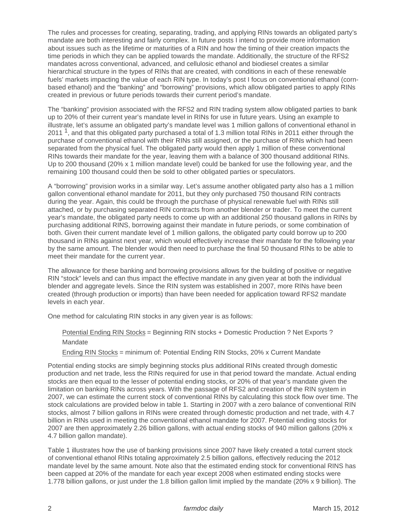The rules and processes for creating, separating, trading, and applying RINs towards an obligated party's mandate are both interesting and fairly complex. In future posts I intend to provide more information about issues such as the lifetime or maturities of a RIN and how the timing of their creation impacts the time periods in which they can be applied towards the mandate. Additionally, the structure of the RFS2 mandates across conventional, advanced, and cellulosic ethanol and biodiesel creates a similar hierarchical structure in the types of RINs that are created, with conditions in each of these renewable fuels' markets impacting the value of each RIN type. In today's post I focus on conventional ethanol (cornbased ethanol) and the "banking" and "borrowing" provisions, which allow obligated parties to apply RINs created in previous or future periods towards their current period's mandate.

The "banking" provision associated with the RFS2 and RIN trading system allow obligated parties to bank up to 20% of their current year's mandate level in RINs for use in future years. Using an example to illustrate, let's assume an obligated party's mandate level was 1 million gallons of conventional ethanol in 2011 <sup>1</sup>, and that this obligated party purchased a total of 1.3 million total RINs in 2011 either through the purchase of conventional ethanol with their RINs still assigned, or the purchase of RINs which had been separated from the physical fuel. The obligated party would then apply 1 million of these conventional RINs towards their mandate for the year, leaving them with a balance of 300 thousand additional RINs. Up to 200 thousand (20% x 1 million mandate level) could be banked for use the following year, and the remaining 100 thousand could then be sold to other obligated parties or speculators.

A "borrowing" provision works in a similar way. Let's assume another obligated party also has a 1 million gallon conventional ethanol mandate for 2011, but they only purchased 750 thousand RIN contracts during the year. Again, this could be through the purchase of physical renewable fuel with RINs still attached, or by purchasing separated RIN contracts from another blender or trader. To meet the current year's mandate, the obligated party needs to come up with an additional 250 thousand gallons in RINs by purchasing additional RINS, borrowing against their mandate in future periods, or some combination of both. Given their current mandate level of 1 million gallons, the obligated party could borrow up to 200 thousand in RINs against next year, which would effectively increase their mandate for the following year by the same amount. The blender would then need to purchase the final 50 thousand RINs to be able to meet their mandate for the current year.

The allowance for these banking and borrowing provisions allows for the building of positive or negative RIN "stock" levels and can thus impact the effective mandate in any given year at both the individual blender and aggregate levels. Since the RIN system was established in 2007, more RINs have been created (through production or imports) than have been needed for application toward RFS2 mandate levels in each year.

One method for calculating RIN stocks in any given year is as follows:

Potential Ending RIN Stocks = Beginning RIN stocks + Domestic Production ? Net Exports ? **Mandate** 

Ending RIN Stocks = minimum of: Potential Ending RIN Stocks, 20% x Current Mandate

Potential ending stocks are simply beginning stocks plus additional RINs created through domestic production and net trade, less the RINs required for use in that period toward the mandate. Actual ending stocks are then equal to the lesser of potential ending stocks, or 20% of that year's mandate given the limitation on banking RINs across years. With the passage of RFS2 and creation of the RIN system in 2007, we can estimate the current stock of conventional RINs by calculating this stock flow over time. The stock calculations are provided below in table 1. Starting in 2007 with a zero balance of conventional RIN stocks, almost 7 billion gallons in RINs were created through domestic production and net trade, with 4.7 billion in RINs used in meeting the conventional ethanol mandate for 2007. Potential ending stocks for 2007 are then approximately 2.26 billion gallons, with actual ending stocks of 940 million gallons (20% x 4.7 billion gallon mandate).

Table 1 illustrates how the use of banking provisions since 2007 have likely created a total current stock of conventional ethanol RINs totaling approximately 2.5 billion gallons, effectively reducing the 2012 mandate level by the same amount. Note also that the estimated ending stock for conventional RINS has been capped at 20% of the mandate for each year except 2008 when estimated ending stocks were 1.778 billion gallons, or just under the 1.8 billion gallon limit implied by the mandate (20% x 9 billion). The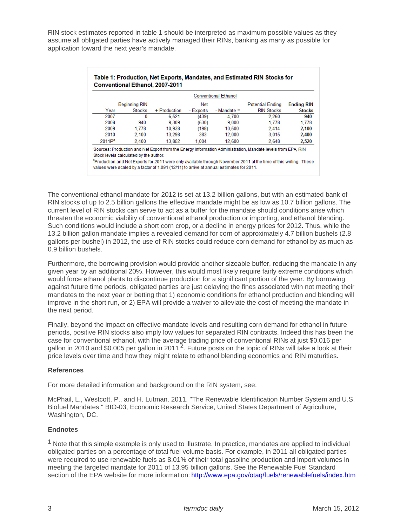RIN stock estimates reported in table 1 should be interpreted as maximum possible values as they assume all obligated parties have actively managed their RINs, banking as many as possible for application toward the next year's mandate.

The conventional ethanol mandate for 2012 is set at 13.2 billion gallons, but with an estimated bank of RIN stocks of up to 2.5 billion gallons the effective mandate might be as low as 10.7 billion gallons. The current level of RIN stocks can serve to act as a buffer for the mandate should conditions arise which threaten the economic viability of conventional ethanol production or importing, and ethanol blending. Such conditions would include a short corn crop, or a decline in energy prices for 2012. Thus, while the 13.2 billion gallon mandate implies a revealed demand for corn of approximately 4.7 billion bushels (2.8 gallons per bushel) in 2012, the use of RIN stocks could reduce corn demand for ethanol by as much as 0.9 billion bushels.

Furthermore, the borrowing provision would provide another sizeable buffer, reducing the mandate in any given year by an additional 20%. However, this would most likely require fairly extreme conditions which would force ethanol plants to discontinue production for a significant portion of the year. By borrowing against future time periods, obligated parties are just delaying the fines associated with not meeting their mandates to the next year or betting that 1) economic conditions for ethanol production and blending will improve in the short run, or 2) EPA will provide a waiver to alleviate the cost of meeting the mandate in the next period.

Finally, beyond the impact on effective mandate levels and resulting corn demand for ethanol in future periods, positive RIN stocks also imply low values for separated RIN contracts. Indeed this has been the case for conventional ethanol, with the average trading price of conventional RINs at just \$0.016 per gallon in 2010 and \$0.005 per gallon in 2011<sup>2</sup>. Future posts on the topic of RINs will take a look at their price levels over time and how they might relate to ethanol blending economics and RIN maturities.

## References

For more detailed information and background on the RIN system, see:

McPhail, L., Westcott, P., and H. Lutman. 2011. "The Renewable Identification Number System and U.S. Biofuel Mandates." BIO-03, Economic Research Service, United States Department of Agriculture, Washington, DC.

## **Endnotes**

<sup>1</sup> Note that this simple example is only used to illustrate. In practice, mandates are applied to individual obligated parties on a percentage of total fuel volume basis. For example, in 2011 all obligated parties were required to use renewable fuels as 8.01% of their total gasoline production and import volumes in meeting the targeted mandate for 2011 of 13.95 billion gallons. See the Renewable Fuel Standard section of the EPA website for more information:<http://www.epa.gov/otaq/fuels/renewablefuels/index.htm>